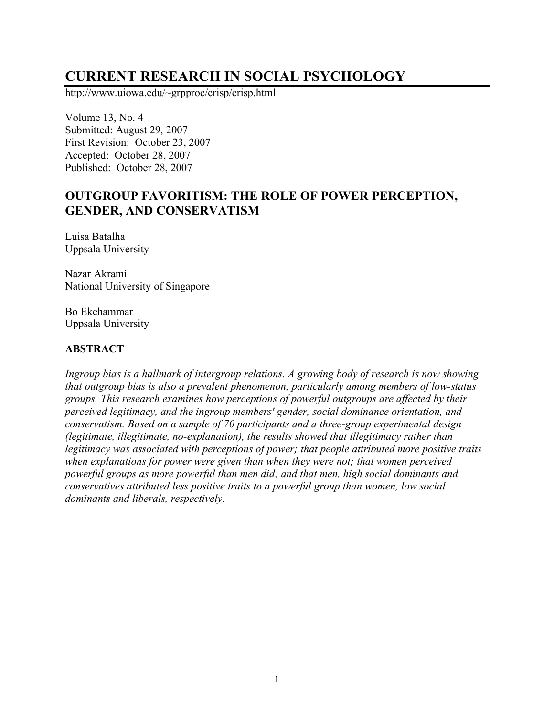# **CURRENT RESEARCH IN SOCIAL PSYCHOLOGY**

http://www.uiowa.edu/~grpproc/crisp/crisp.html

Volume 13, No. 4 Submitted: August 29, 2007 First Revision: October 23, 2007 Accepted: October 28, 2007 Published: October 28, 2007

# **OUTGROUP FAVORITISM: THE ROLE OF POWER PERCEPTION, GENDER, AND CONSERVATISM**

Luisa Batalha Uppsala University

Nazar Akrami National University of Singapore

Bo Ekehammar Uppsala University

#### **ABSTRACT**

*Ingroup bias is a hallmark of intergroup relations. A growing body of research is now showing that outgroup bias is also a prevalent phenomenon, particularly among members of low-status groups. This research examines how perceptions of powerful outgroups are affected by their perceived legitimacy, and the ingroup members' gender, social dominance orientation, and conservatism. Based on a sample of 70 participants and a three-group experimental design (legitimate, illegitimate, no-explanation), the results showed that illegitimacy rather than legitimacy was associated with perceptions of power; that people attributed more positive traits when explanations for power were given than when they were not; that women perceived powerful groups as more powerful than men did; and that men, high social dominants and conservatives attributed less positive traits to a powerful group than women, low social dominants and liberals, respectively.*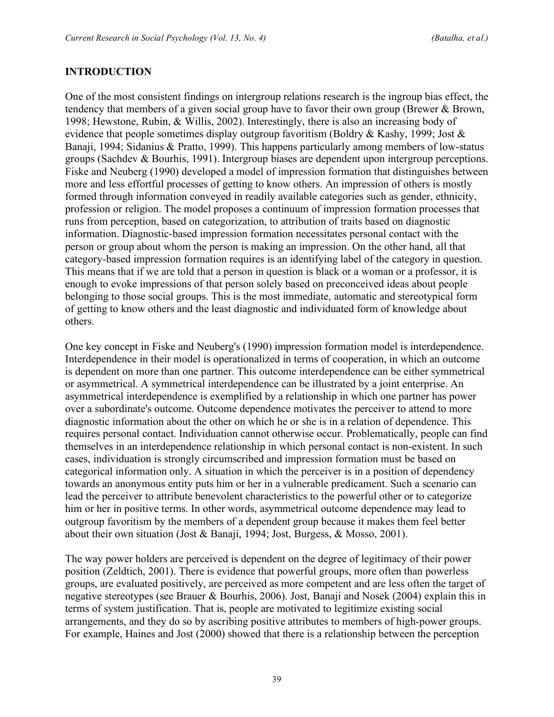#### **INTRODUCTION**

One of the most consistent findings on intergroup relations research is the ingroup bias effect, the tendency that members of a given social group have to favor their own group (Brewer & Brown, 1998; Hewstone, Rubin, & Willis, 2002). Interestingly, there is also an increasing body of evidence that people sometimes display outgroup favoritism (Boldry & Kashy, 1999; Jost & Banaji, 1994; Sidanius & Pratto, 1999). This happens particularly among members of low-status groups (Sachdev & Bourhis, 1991). Intergroup biases are dependent upon intergroup perceptions. Fiske and Neuberg (1990) developed a model of impression formation that distinguishes between more and less effortful processes of getting to know others. An impression of others is mostly formed through information conveyed in readily available categories such as gender, ethnicity, profession or religion. The model proposes a continuum of impression formation processes that runs from perception, based on categorization, to attribution of traits based on diagnostic information. Diagnostic-based impression formation necessitates personal contact with the person or group about whom the person is making an impression. On the other hand, all that category-based impression formation requires is an identifying label of the category in question. This means that if we are told that a person in question is black or a woman or a professor, it is enough to evoke impressions of that person solely based on preconceived ideas about people belonging to those social groups. This is the most immediate, automatic and stereotypical form of getting to know others and the least diagnostic and individuated form of knowledge about others.

One key concept in Fiske and Neuberg's (1990) impression formation model is interdependence. Interdependence in their model is operationalized in terms of cooperation, in which an outcome is dependent on more than one partner. This outcome interdependence can be either symmetrical or asymmetrical. A symmetrical interdependence can be illustrated by a joint enterprise. An asymmetrical interdependence is exemplified by a relationship in which one partner has power over a subordinate's outcome. Outcome dependence motivates the perceiver to attend to more diagnostic information about the other on which he or she is in a relation of dependence. This requires personal contact. Individuation cannot otherwise occur. Problematically, people can find themselves in an interdependence relationship in which personal contact is non-existent. In such cases, individuation is strongly circumscribed and impression formation must be based on categorical information only. A situation in which the perceiver is in a position of dependency towards an anonymous entity puts him or her in a vulnerable predicament. Such a scenario can lead the perceiver to attribute benevolent characteristics to the powerful other or to categorize him or her in positive terms. In other words, asymmetrical outcome dependence may lead to outgroup favoritism by the members of a dependent group because it makes them feel better about their own situation (Jost & Banaji, 1994; Jost, Burgess, & Mosso, 2001).

The way power holders are perceived is dependent on the degree of legitimacy of their power position (Zeldtich, 2001). There is evidence that powerful groups, more often than powerless groups, are evaluated positively, are perceived as more competent and are less often the target of negative stereotypes (see Brauer & Bourhis, 2006). Jost, Banaji and Nosek (2004) explain this in terms of system justification. That is, people are motivated to legitimize existing social arrangements, and they do so by ascribing positive attributes to members of high-power groups. For example, Haines and Jost (2000) showed that there is a relationship between the perception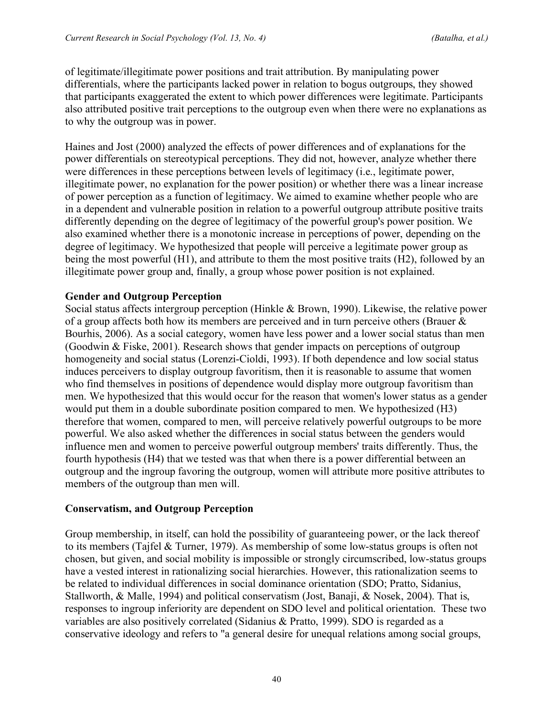of legitimate/illegitimate power positions and trait attribution. By manipulating power differentials, where the participants lacked power in relation to bogus outgroups, they showed that participants exaggerated the extent to which power differences were legitimate. Participants also attributed positive trait perceptions to the outgroup even when there were no explanations as to why the outgroup was in power.

Haines and Jost (2000) analyzed the effects of power differences and of explanations for the power differentials on stereotypical perceptions. They did not, however, analyze whether there were differences in these perceptions between levels of legitimacy (i.e., legitimate power, illegitimate power, no explanation for the power position) or whether there was a linear increase of power perception as a function of legitimacy. We aimed to examine whether people who are in a dependent and vulnerable position in relation to a powerful outgroup attribute positive traits differently depending on the degree of legitimacy of the powerful group's power position. We also examined whether there is a monotonic increase in perceptions of power, depending on the degree of legitimacy. We hypothesized that people will perceive a legitimate power group as being the most powerful (H1), and attribute to them the most positive traits (H2), followed by an illegitimate power group and, finally, a group whose power position is not explained.

#### **Gender and Outgroup Perception**

Social status affects intergroup perception (Hinkle & Brown, 1990). Likewise, the relative power of a group affects both how its members are perceived and in turn perceive others (Brauer & Bourhis, 2006). As a social category, women have less power and a lower social status than men (Goodwin & Fiske, 2001). Research shows that gender impacts on perceptions of outgroup homogeneity and social status (Lorenzi-Cioldi, 1993). If both dependence and low social status induces perceivers to display outgroup favoritism, then it is reasonable to assume that women who find themselves in positions of dependence would display more outgroup favoritism than men. We hypothesized that this would occur for the reason that women's lower status as a gender would put them in a double subordinate position compared to men. We hypothesized (H3) therefore that women, compared to men, will perceive relatively powerful outgroups to be more powerful. We also asked whether the differences in social status between the genders would influence men and women to perceive powerful outgroup members' traits differently. Thus, the fourth hypothesis (H4) that we tested was that when there is a power differential between an outgroup and the ingroup favoring the outgroup, women will attribute more positive attributes to members of the outgroup than men will.

#### **Conservatism, and Outgroup Perception**

Group membership, in itself, can hold the possibility of guaranteeing power, or the lack thereof to its members (Tajfel & Turner, 1979). As membership of some low-status groups is often not chosen, but given, and social mobility is impossible or strongly circumscribed, low-status groups have a vested interest in rationalizing social hierarchies. However, this rationalization seems to be related to individual differences in social dominance orientation (SDO; Pratto, Sidanius, Stallworth, & Malle, 1994) and political conservatism (Jost, Banaji, & Nosek, 2004). That is, responses to ingroup inferiority are dependent on SDO level and political orientation. These two variables are also positively correlated (Sidanius & Pratto, 1999). SDO is regarded as a conservative ideology and refers to "a general desire for unequal relations among social groups,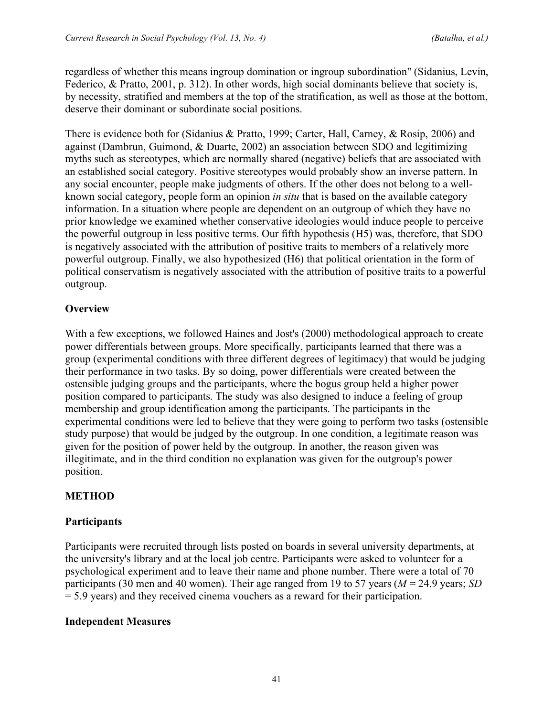regardless of whether this means ingroup domination or ingroup subordination" (Sidanius, Levin, Federico, & Pratto, 2001, p. 312). In other words, high social dominants believe that society is, by necessity, stratified and members at the top of the stratification, as well as those at the bottom, deserve their dominant or subordinate social positions.

There is evidence both for (Sidanius & Pratto, 1999; Carter, Hall, Carney, & Rosip, 2006) and against (Dambrun, Guimond, & Duarte, 2002) an association between SDO and legitimizing myths such as stereotypes, which are normally shared (negative) beliefs that are associated with an established social category. Positive stereotypes would probably show an inverse pattern. In any social encounter, people make judgments of others. If the other does not belong to a wellknown social category, people form an opinion *in situ* that is based on the available category information. In a situation where people are dependent on an outgroup of which they have no prior knowledge we examined whether conservative ideologies would induce people to perceive the powerful outgroup in less positive terms. Our fifth hypothesis (H5) was, therefore, that SDO is negatively associated with the attribution of positive traits to members of a relatively more powerful outgroup. Finally, we also hypothesized (H6) that political orientation in the form of political conservatism is negatively associated with the attribution of positive traits to a powerful outgroup.

## **Overview**

With a few exceptions, we followed Haines and Jost's (2000) methodological approach to create power differentials between groups. More specifically, participants learned that there was a group (experimental conditions with three different degrees of legitimacy) that would be judging their performance in two tasks. By so doing, power differentials were created between the ostensible judging groups and the participants, where the bogus group held a higher power position compared to participants. The study was also designed to induce a feeling of group membership and group identification among the participants. The participants in the experimental conditions were led to believe that they were going to perform two tasks (ostensible study purpose) that would be judged by the outgroup. In one condition, a legitimate reason was given for the position of power held by the outgroup. In another, the reason given was illegitimate, and in the third condition no explanation was given for the outgroup's power position.

# **METHOD**

#### **Participants**

Participants were recruited through lists posted on boards in several university departments, at the university's library and at the local job centre. Participants were asked to volunteer for a psychological experiment and to leave their name and phone number. There were a total of 70 participants (30 men and 40 women). Their age ranged from 19 to 57 years (*M* = 24.9 years; *SD* = 5.9 years) and they received cinema vouchers as a reward for their participation.

#### **Independent Measures**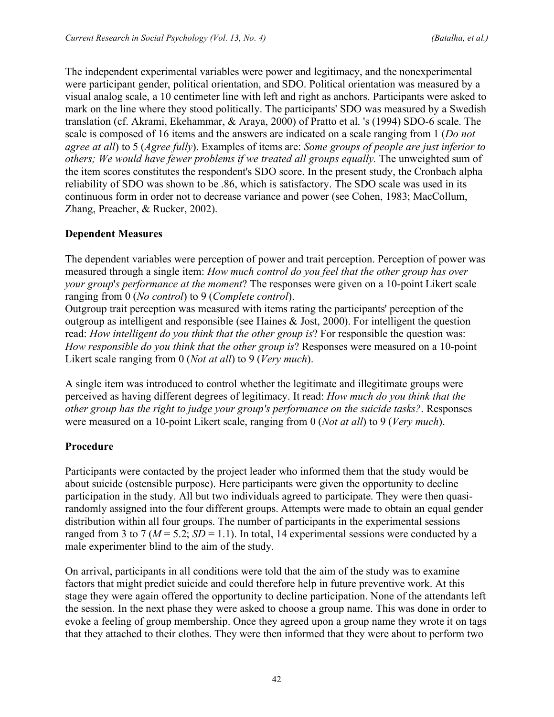The independent experimental variables were power and legitimacy, and the nonexperimental were participant gender, political orientation, and SDO. Political orientation was measured by a visual analog scale, a 10 centimeter line with left and right as anchors. Participants were asked to mark on the line where they stood politically. The participants' SDO was measured by a Swedish translation (cf. Akrami, Ekehammar, & Araya, 2000) of Pratto et al. 's (1994) SDO-6 scale. The scale is composed of 16 items and the answers are indicated on a scale ranging from 1 (*Do not agree at all*) to 5 (*Agree fully*). Examples of items are: *Some groups of people are just inferior to others; We would have fewer problems if we treated all groups equally.* The unweighted sum of the item scores constitutes the respondent's SDO score. In the present study, the Cronbach alpha reliability of SDO was shown to be .86, which is satisfactory. The SDO scale was used in its continuous form in order not to decrease variance and power (see Cohen, 1983; MacCollum, Zhang, Preacher, & Rucker, 2002).

## **Dependent Measures**

The dependent variables were perception of power and trait perception. Perception of power was measured through a single item: *How much control do you feel that the other group has over your group*'*s performance at the moment*? The responses were given on a 10-point Likert scale ranging from 0 (*No control*) to 9 (*Complete control*).

Outgroup trait perception was measured with items rating the participants' perception of the outgroup as intelligent and responsible (see Haines & Jost, 2000). For intelligent the question read: *How intelligent do you think that the other group is*? For responsible the question was: *How responsible do you think that the other group is*? Responses were measured on a 10-point Likert scale ranging from 0 (*Not at all*) to 9 (*Very much*).

A single item was introduced to control whether the legitimate and illegitimate groups were perceived as having different degrees of legitimacy. It read: *How much do you think that the other group has the right to judge your group's performance on the suicide tasks?*. Responses were measured on a 10-point Likert scale, ranging from 0 (*Not at all*) to 9 (*Very much*).

#### **Procedure**

Participants were contacted by the project leader who informed them that the study would be about suicide (ostensible purpose). Here participants were given the opportunity to decline participation in the study. All but two individuals agreed to participate. They were then quasirandomly assigned into the four different groups. Attempts were made to obtain an equal gender distribution within all four groups. The number of participants in the experimental sessions ranged from 3 to 7 ( $M = 5.2$ ;  $SD = 1.1$ ). In total, 14 experimental sessions were conducted by a male experimenter blind to the aim of the study.

On arrival, participants in all conditions were told that the aim of the study was to examine factors that might predict suicide and could therefore help in future preventive work. At this stage they were again offered the opportunity to decline participation. None of the attendants left the session. In the next phase they were asked to choose a group name. This was done in order to evoke a feeling of group membership. Once they agreed upon a group name they wrote it on tags that they attached to their clothes. They were then informed that they were about to perform two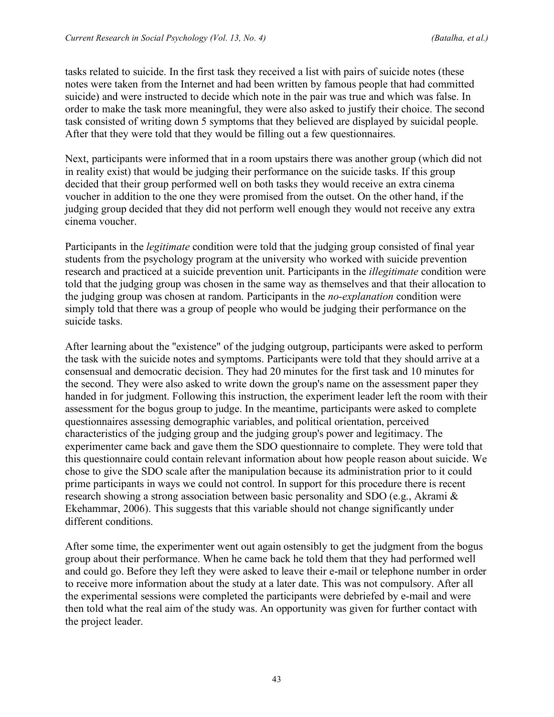tasks related to suicide. In the first task they received a list with pairs of suicide notes (these notes were taken from the Internet and had been written by famous people that had committed suicide) and were instructed to decide which note in the pair was true and which was false. In order to make the task more meaningful, they were also asked to justify their choice. The second task consisted of writing down 5 symptoms that they believed are displayed by suicidal people. After that they were told that they would be filling out a few questionnaires.

Next, participants were informed that in a room upstairs there was another group (which did not in reality exist) that would be judging their performance on the suicide tasks. If this group decided that their group performed well on both tasks they would receive an extra cinema voucher in addition to the one they were promised from the outset. On the other hand, if the judging group decided that they did not perform well enough they would not receive any extra cinema voucher.

Participants in the *legitimate* condition were told that the judging group consisted of final year students from the psychology program at the university who worked with suicide prevention research and practiced at a suicide prevention unit. Participants in the *illegitimate* condition were told that the judging group was chosen in the same way as themselves and that their allocation to the judging group was chosen at random. Participants in the *no-explanation* condition were simply told that there was a group of people who would be judging their performance on the suicide tasks.

After learning about the "existence" of the judging outgroup, participants were asked to perform the task with the suicide notes and symptoms. Participants were told that they should arrive at a consensual and democratic decision. They had 20 minutes for the first task and 10 minutes for the second. They were also asked to write down the group's name on the assessment paper they handed in for judgment. Following this instruction, the experiment leader left the room with their assessment for the bogus group to judge. In the meantime, participants were asked to complete questionnaires assessing demographic variables, and political orientation, perceived characteristics of the judging group and the judging group's power and legitimacy. The experimenter came back and gave them the SDO questionnaire to complete. They were told that this questionnaire could contain relevant information about how people reason about suicide. We chose to give the SDO scale after the manipulation because its administration prior to it could prime participants in ways we could not control. In support for this procedure there is recent research showing a strong association between basic personality and SDO (e.g., Akrami & Ekehammar, 2006). This suggests that this variable should not change significantly under different conditions.

After some time, the experimenter went out again ostensibly to get the judgment from the bogus group about their performance. When he came back he told them that they had performed well and could go. Before they left they were asked to leave their e-mail or telephone number in order to receive more information about the study at a later date. This was not compulsory. After all the experimental sessions were completed the participants were debriefed by e-mail and were then told what the real aim of the study was. An opportunity was given for further contact with the project leader.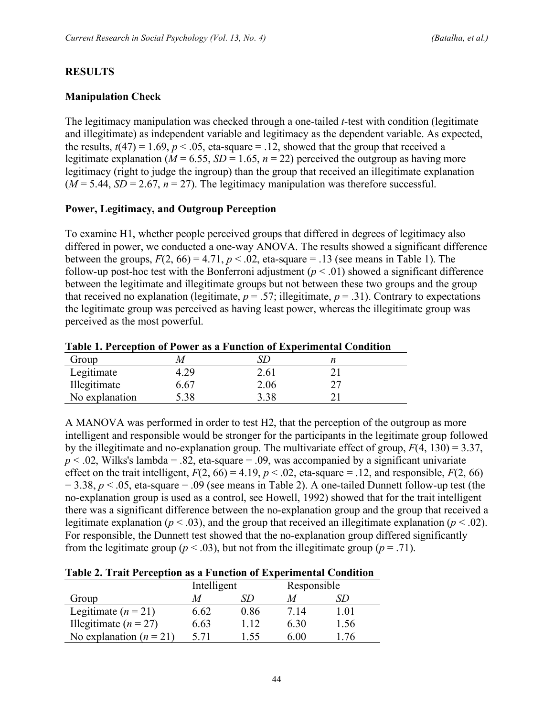#### **RESULTS**

#### **Manipulation Check**

The legitimacy manipulation was checked through a one-tailed *t*-test with condition (legitimate and illegitimate) as independent variable and legitimacy as the dependent variable. As expected, the results,  $t(47) = 1.69$ ,  $p < .05$ , eta-square = .12, showed that the group that received a legitimate explanation ( $M = 6.55$ ,  $SD = 1.65$ ,  $n = 22$ ) perceived the outgroup as having more legitimacy (right to judge the ingroup) than the group that received an illegitimate explanation  $(M = 5.44, SD = 2.67, n = 27)$ . The legitimacy manipulation was therefore successful.

#### **Power, Legitimacy, and Outgroup Perception**

To examine H1, whether people perceived groups that differed in degrees of legitimacy also differed in power, we conducted a one-way ANOVA. The results showed a significant difference between the groups,  $F(2, 66) = 4.71$ ,  $p < .02$ , eta-square = .13 (see means in Table 1). The follow-up post-hoc test with the Bonferroni adjustment  $(p < .01)$  showed a significant difference between the legitimate and illegitimate groups but not between these two groups and the group that received no explanation (legitimate,  $p = .57$ ; illegitimate,  $p = .31$ ). Contrary to expectations the legitimate group was perceived as having least power, whereas the illegitimate group was perceived as the most powerful.

**Table 1. Perception of Power as a Function of Experimental Condition**

| Group          |            |      |    |  |
|----------------|------------|------|----|--|
| Legitimate     |            | 2.61 |    |  |
| Illegitimate   | 6.67       | 2.06 | דר |  |
| No explanation | $\cdot$ 38 | 3.38 |    |  |

A MANOVA was performed in order to test H2, that the perception of the outgroup as more intelligent and responsible would be stronger for the participants in the legitimate group followed by the illegitimate and no-explanation group. The multivariate effect of group, *F*(4, 130) = 3.37,  $p < .02$ , Wilks's lambda = .82, eta-square = .09, was accompanied by a significant univariate effect on the trait intelligent,  $F(2, 66) = 4.19$ ,  $p < .02$ , eta-square = .12, and responsible,  $F(2, 66)$  $= 3.38$ ,  $p < 0.05$ , eta-square  $= 0.09$  (see means in Table 2). A one-tailed Dunnett follow-up test (the no-explanation group is used as a control, see Howell, 1992) showed that for the trait intelligent there was a significant difference between the no-explanation group and the group that received a legitimate explanation ( $p < .03$ ), and the group that received an illegitimate explanation ( $p < .02$ ). For responsible, the Dunnett test showed that the no-explanation group differed significantly from the legitimate group ( $p < .03$ ), but not from the illegitimate group ( $p = .71$ ).

| Table 2. Trait Perception as a Function of Experimental Condition |  |  |  |  |  |  |
|-------------------------------------------------------------------|--|--|--|--|--|--|
|-------------------------------------------------------------------|--|--|--|--|--|--|

|                           | Intelligent |      | Responsible |      |
|---------------------------|-------------|------|-------------|------|
| Group                     |             |      |             |      |
| Legitimate $(n = 21)$     | 6.62        | 0.86 | 7 14        | l 01 |
| Illegitimate ( $n = 27$ ) | 6.63        | 112  | 6.30        | l.56 |
| No explanation $(n = 21)$ | 5.71        | 1,55 | 6.00        | 176  |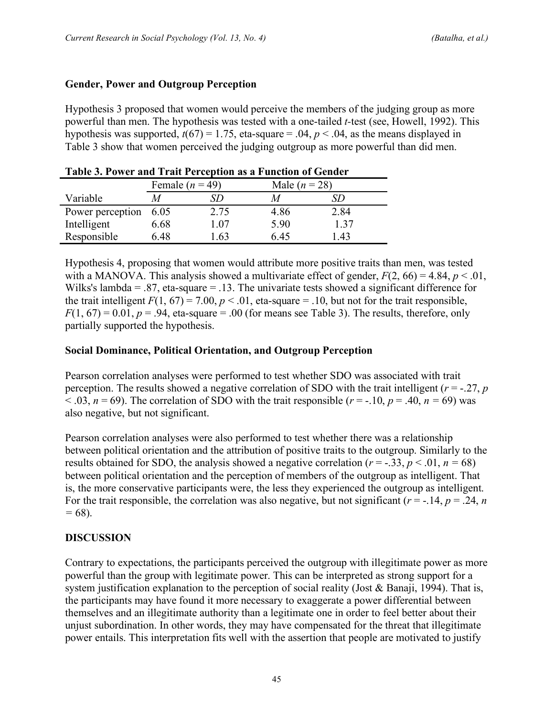#### **Gender, Power and Outgroup Perception**

Hypothesis 3 proposed that women would perceive the members of the judging group as more powerful than men. The hypothesis was tested with a one-tailed *t-*test (see, Howell, 1992). This hypothesis was supported,  $t(67) = 1.75$ , eta-square = .04,  $p < .04$ , as the means displayed in Table 3 show that women perceived the judging outgroup as more powerful than did men.

|                  | Female $(n = 49)$ |      | Male $(n = 28)$ |      |
|------------------|-------------------|------|-----------------|------|
| Variable         |                   | SD   |                 |      |
| Power perception | 6.05              | 2.75 | 4.86            | 2.84 |
| Intelligent      | 6.68              | l.07 | 5.90            | 137  |
| Responsible      | 6 48              | 63   | 6 45            | .43  |

| Table 3. Power and Trait Perception as a Function of Gender |  |  |  |
|-------------------------------------------------------------|--|--|--|
|-------------------------------------------------------------|--|--|--|

Hypothesis 4, proposing that women would attribute more positive traits than men, was tested with a MANOVA. This analysis showed a multivariate effect of gender,  $F(2, 66) = 4.84$ ,  $p < .01$ , Wilks's lambda = .87, eta-square = .13. The univariate tests showed a significant difference for the trait intelligent  $F(1, 67) = 7.00$ ,  $p < .01$ , eta-square = .10, but not for the trait responsible,  $F(1, 67) = 0.01$ ,  $p = .94$ , eta-square = .00 (for means see Table 3). The results, therefore, only partially supported the hypothesis.

#### **Social Dominance, Political Orientation, and Outgroup Perception**

Pearson correlation analyses were performed to test whether SDO was associated with trait perception. The results showed a negative correlation of SDO with the trait intelligent (*r* = -.27, *p*  $(0.03, n = 69)$ . The correlation of SDO with the trait responsible ( $r = -10$ ,  $p = 0.40$ ,  $n = 69$ ) was also negative, but not significant.

Pearson correlation analyses were also performed to test whether there was a relationship between political orientation and the attribution of positive traits to the outgroup. Similarly to the results obtained for SDO, the analysis showed a negative correlation ( $r = -0.33$ ,  $p < 0.01$ ,  $n = 68$ ) between political orientation and the perception of members of the outgroup as intelligent. That is, the more conservative participants were, the less they experienced the outgroup as intelligent. For the trait responsible, the correlation was also negative, but not significant  $(r = -14, p = 0.24, n$ *=* 68).

#### **DISCUSSION**

Contrary to expectations, the participants perceived the outgroup with illegitimate power as more powerful than the group with legitimate power. This can be interpreted as strong support for a system justification explanation to the perception of social reality (Jost & Banaji, 1994). That is, the participants may have found it more necessary to exaggerate a power differential between themselves and an illegitimate authority than a legitimate one in order to feel better about their unjust subordination. In other words, they may have compensated for the threat that illegitimate power entails. This interpretation fits well with the assertion that people are motivated to justify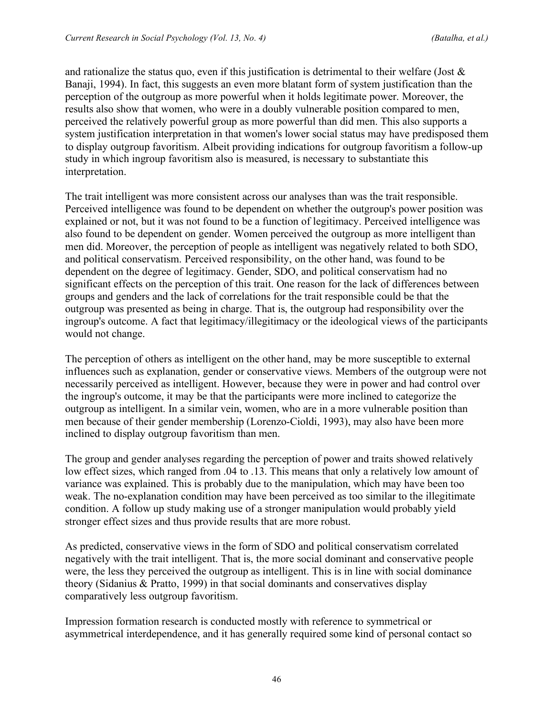and rationalize the status quo, even if this justification is detrimental to their welfare (Jost  $\&$ Banaji, 1994). In fact, this suggests an even more blatant form of system justification than the perception of the outgroup as more powerful when it holds legitimate power. Moreover, the results also show that women, who were in a doubly vulnerable position compared to men, perceived the relatively powerful group as more powerful than did men. This also supports a system justification interpretation in that women's lower social status may have predisposed them to display outgroup favoritism. Albeit providing indications for outgroup favoritism a follow-up study in which ingroup favoritism also is measured, is necessary to substantiate this interpretation.

The trait intelligent was more consistent across our analyses than was the trait responsible. Perceived intelligence was found to be dependent on whether the outgroup's power position was explained or not, but it was not found to be a function of legitimacy. Perceived intelligence was also found to be dependent on gender. Women perceived the outgroup as more intelligent than men did. Moreover, the perception of people as intelligent was negatively related to both SDO, and political conservatism. Perceived responsibility, on the other hand, was found to be dependent on the degree of legitimacy. Gender, SDO, and political conservatism had no significant effects on the perception of this trait. One reason for the lack of differences between groups and genders and the lack of correlations for the trait responsible could be that the outgroup was presented as being in charge. That is, the outgroup had responsibility over the ingroup's outcome. A fact that legitimacy/illegitimacy or the ideological views of the participants would not change.

The perception of others as intelligent on the other hand, may be more susceptible to external influences such as explanation, gender or conservative views. Members of the outgroup were not necessarily perceived as intelligent. However, because they were in power and had control over the ingroup's outcome, it may be that the participants were more inclined to categorize the outgroup as intelligent. In a similar vein, women, who are in a more vulnerable position than men because of their gender membership (Lorenzo-Cioldi, 1993), may also have been more inclined to display outgroup favoritism than men.

The group and gender analyses regarding the perception of power and traits showed relatively low effect sizes, which ranged from .04 to .13. This means that only a relatively low amount of variance was explained. This is probably due to the manipulation, which may have been too weak. The no-explanation condition may have been perceived as too similar to the illegitimate condition. A follow up study making use of a stronger manipulation would probably yield stronger effect sizes and thus provide results that are more robust.

As predicted, conservative views in the form of SDO and political conservatism correlated negatively with the trait intelligent. That is, the more social dominant and conservative people were, the less they perceived the outgroup as intelligent. This is in line with social dominance theory (Sidanius & Pratto, 1999) in that social dominants and conservatives display comparatively less outgroup favoritism.

Impression formation research is conducted mostly with reference to symmetrical or asymmetrical interdependence, and it has generally required some kind of personal contact so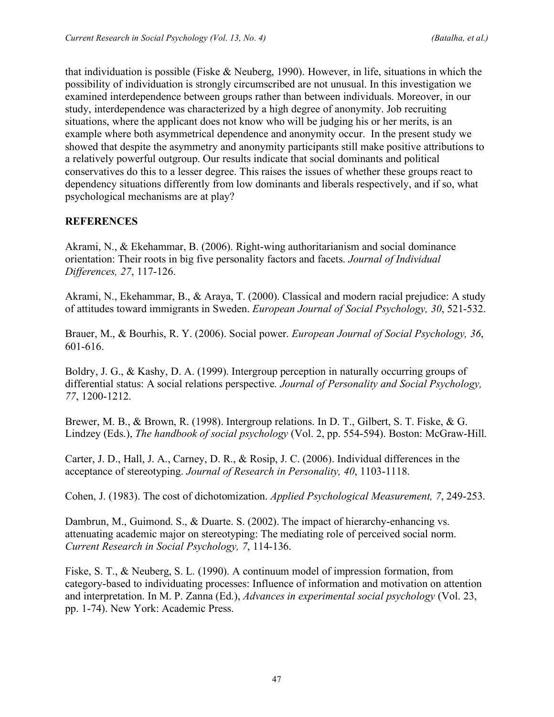that individuation is possible (Fiske & Neuberg, 1990). However, in life, situations in which the possibility of individuation is strongly circumscribed are not unusual. In this investigation we examined interdependence between groups rather than between individuals. Moreover, in our study, interdependence was characterized by a high degree of anonymity. Job recruiting situations, where the applicant does not know who will be judging his or her merits, is an example where both asymmetrical dependence and anonymity occur. In the present study we showed that despite the asymmetry and anonymity participants still make positive attributions to a relatively powerful outgroup. Our results indicate that social dominants and political conservatives do this to a lesser degree. This raises the issues of whether these groups react to dependency situations differently from low dominants and liberals respectively, and if so, what psychological mechanisms are at play?

## **REFERENCES**

Akrami, N., & Ekehammar, B. (2006). Right-wing authoritarianism and social dominance orientation: Their roots in big five personality factors and facets. *Journal of Individual Differences, 27*, 117-126.

Akrami, N., Ekehammar, B., & Araya, T. (2000). Classical and modern racial prejudice: A study of attitudes toward immigrants in Sweden. *European Journal of Social Psychology, 30*, 521-532.

Brauer, M., & Bourhis, R. Y. (2006). Social power. *European Journal of Social Psychology, 36*, 601-616.

Boldry, J. G., & Kashy, D. A. (1999). Intergroup perception in naturally occurring groups of differential status: A social relations perspective*. Journal of Personality and Social Psychology, 77*, 1200-1212.

Brewer, M. B., & Brown, R. (1998). Intergroup relations. In D. T., Gilbert, S. T. Fiske, & G. Lindzey (Eds.), *The handbook of social psychology* (Vol. 2, pp. 554-594). Boston: McGraw-Hill.

Carter, J. D., Hall, J. A., Carney, D. R., & Rosip, J. C. (2006). Individual differences in the acceptance of stereotyping. *Journal of Research in Personality, 40*, 1103-1118.

Cohen, J. (1983). The cost of dichotomization. *Applied Psychological Measurement, 7*, 249-253.

Dambrun, M., Guimond. S., & Duarte. S. (2002). The impact of hierarchy-enhancing vs. attenuating academic major on stereotyping: The mediating role of perceived social norm. *Current Research in Social Psychology, 7*, 114-136.

Fiske, S. T., & Neuberg, S. L. (1990). A continuum model of impression formation, from category-based to individuating processes: Influence of information and motivation on attention and interpretation. In M. P. Zanna (Ed.), *Advances in experimental social psychology* (Vol. 23, pp. 1-74). New York: Academic Press.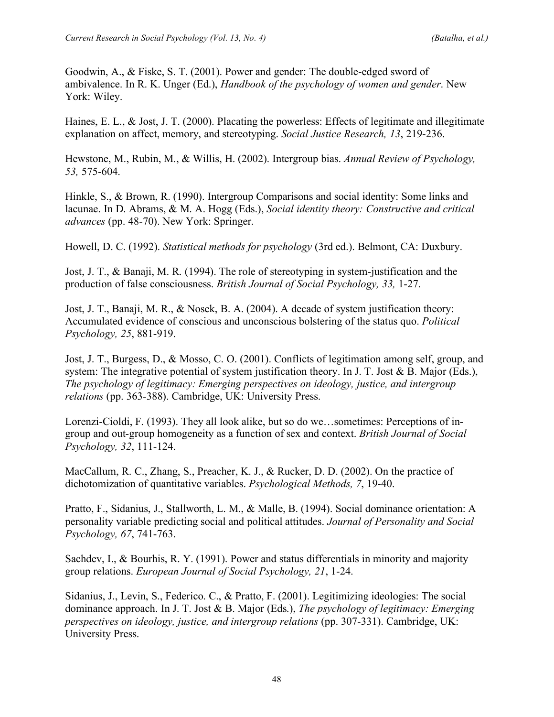Goodwin, A., & Fiske, S. T. (2001). Power and gender: The double-edged sword of ambivalence. In R. K. Unger (Ed.), *Handbook of the psychology of women and gender*. New York: Wiley.

Haines, E. L., & Jost, J. T. (2000). Placating the powerless: Effects of legitimate and illegitimate explanation on affect, memory, and stereotyping. *Social Justice Research, 13*, 219-236.

Hewstone, M., Rubin, M., & Willis, H. (2002). Intergroup bias. *Annual Review of Psychology, 53,* 575-604.

Hinkle, S., & Brown, R. (1990). Intergroup Comparisons and social identity: Some links and lacunae. In D. Abrams, & M. A. Hogg (Eds.), *Social identity theory: Constructive and critical advances* (pp. 48-70). New York: Springer.

Howell, D. C. (1992). *Statistical methods for psychology* (3rd ed.). Belmont, CA: Duxbury.

Jost, J. T., & Banaji, M. R. (1994). The role of stereotyping in system-justification and the production of false consciousness. *British Journal of Social Psychology, 33,* 1-27.

Jost, J. T., Banaji, M. R., & Nosek, B. A. (2004). A decade of system justification theory: Accumulated evidence of conscious and unconscious bolstering of the status quo. *Political Psychology, 25*, 881-919.

Jost, J. T., Burgess, D., & Mosso, C. O. (2001). Conflicts of legitimation among self, group, and system: The integrative potential of system justification theory. In J. T. Jost & B. Major (Eds.), *The psychology of legitimacy: Emerging perspectives on ideology, justice, and intergroup relations* (pp. 363-388). Cambridge, UK: University Press.

Lorenzi-Cioldi, F. (1993). They all look alike, but so do we…sometimes: Perceptions of ingroup and out-group homogeneity as a function of sex and context. *British Journal of Social Psychology, 32*, 111-124.

MacCallum, R. C., Zhang, S., Preacher, K. J., & Rucker, D. D. (2002). On the practice of dichotomization of quantitative variables. *Psychological Methods, 7*, 19-40.

Pratto, F., Sidanius, J., Stallworth, L. M., & Malle, B. (1994). Social dominance orientation: A personality variable predicting social and political attitudes. *Journal of Personality and Social Psychology, 67*, 741-763.

Sachdev, I., & Bourhis, R. Y. (1991). Power and status differentials in minority and majority group relations. *European Journal of Social Psychology, 21*, 1-24.

Sidanius, J., Levin, S., Federico. C., & Pratto, F. (2001). Legitimizing ideologies: The social dominance approach. In J. T. Jost & B. Major (Eds.), *The psychology of legitimacy: Emerging perspectives on ideology, justice, and intergroup relations* (pp. 307-331). Cambridge, UK: University Press.